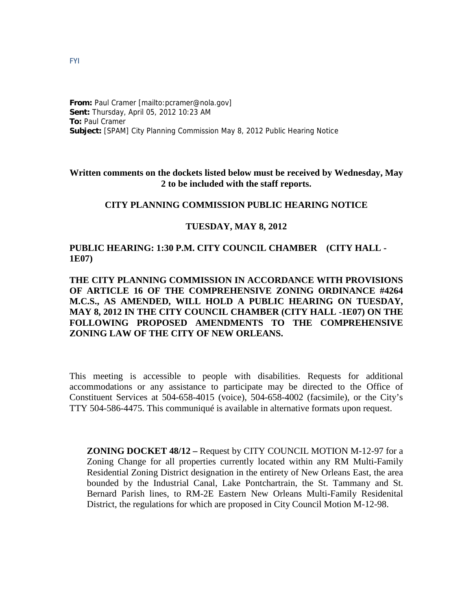#### **From:** Paul Cramer [mailto:pcramer@nola.gov] **Sent:** Thursday, April 05, 2012 10:23 AM **To:** Paul Cramer **Subject:** [SPAM] City Planning Commission May 8, 2012 Public Hearing Notice

## **Written comments on the dockets listed below must be received by Wednesday, May 2 to be included with the staff reports.**

# **CITY PLANNING COMMISSION PUBLIC HEARING NOTICE**

### **TUESDAY, MAY 8, 2012**

## **PUBLIC HEARING: 1:30 P.M. CITY COUNCIL CHAMBER (CITY HALL - 1E07)**

# **THE CITY PLANNING COMMISSION IN ACCORDANCE WITH PROVISIONS OF ARTICLE 16 OF THE COMPREHENSIVE ZONING ORDINANCE #4264 M.C.S., AS AMENDED, WILL HOLD A PUBLIC HEARING ON TUESDAY, MAY 8, 2012 IN THE CITY COUNCIL CHAMBER (CITY HALL -1E07) ON THE FOLLOWING PROPOSED AMENDMENTS TO THE COMPREHENSIVE ZONING LAW OF THE CITY OF NEW ORLEANS.**

This meeting is accessible to people with disabilities. Requests for additional accommodations or any assistance to participate may be directed to the Office of Constituent Services at 504-658-4015 (voice), 504-658-4002 (facsimile), or the City's TTY 504-586-4475. This communiqué is available in alternative formats upon request.

**ZONING DOCKET 48/12 –** Request by CITY COUNCIL MOTION M-12-97 for a Zoning Change for all properties currently located within any RM Multi-Family Residential Zoning District designation in the entirety of New Orleans East, the area bounded by the Industrial Canal, Lake Pontchartrain, the St. Tammany and St. Bernard Parish lines, to RM-2E Eastern New Orleans Multi-Family Residenital District, the regulations for which are proposed in City Council Motion M-12-98.

FYI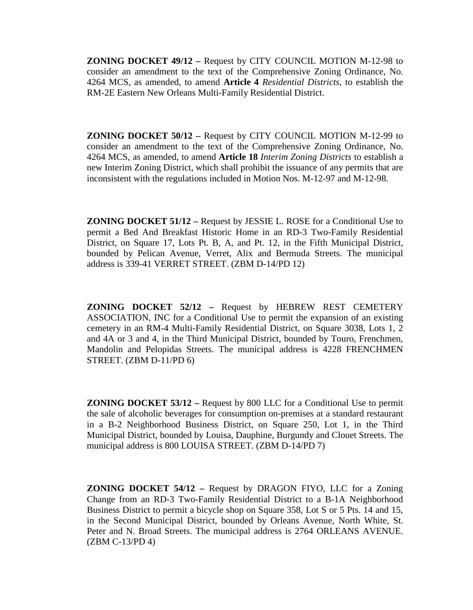**ZONING DOCKET 49/12 –** Request by CITY COUNCIL MOTION M-12-98 to consider an amendment to the text of the Comprehensive Zoning Ordinance, No. 4264 MCS, as amended, to amend **Article 4** *Residential Districts*, to establish the RM-2E Eastern New Orleans Multi-Family Residential District.

**ZONING DOCKET 50/12 –** Request by CITY COUNCIL MOTION M-12-99 to consider an amendment to the text of the Comprehensive Zoning Ordinance, No. 4264 MCS, as amended, to amend **Article 18** *Interim Zoning Districts* to establish a new Interim Zoning District, which shall prohibit the issuance of any permits that are inconsistent with the regulations included in Motion Nos. M-12-97 and M-12-98.

**ZONING DOCKET 51/12 –** Request by JESSIE L. ROSE for a Conditional Use to permit a Bed And Breakfast Historic Home in an RD-3 Two-Family Residential District, on Square 17, Lots Pt. B, A, and Pt. 12, in the Fifth Municipal District, bounded by Pelican Avenue, Verret, Alix and Bermuda Streets. The municipal address is 339-41 VERRET STREET. (ZBM D-14/PD 12)

**ZONING DOCKET 52/12 –** Request by HEBREW REST CEMETERY ASSOCIATION, INC for a Conditional Use to permit the expansion of an existing cemetery in an RM-4 Multi-Family Residential District, on Square 3038, Lots 1, 2 and 4A or 3 and 4, in the Third Municipal District, bounded by Touro, Frenchmen, Mandolin and Pelopidas Streets. The municipal address is 4228 FRENCHMEN STREET. (ZBM D-11/PD 6)

**ZONING DOCKET 53/12 –** Request by 800 LLC for a Conditional Use to permit the sale of alcoholic beverages for consumption on-premises at a standard restaurant in a B-2 Neighborhood Business District, on Square 250, Lot 1, in the Third Municipal District, bounded by Louisa, Dauphine, Burgundy and Clouet Streets. The municipal address is 800 LOUISA STREET. (ZBM D-14/PD 7)

**ZONING DOCKET 54/12 –** Request by DRAGON FIYO, LLC for a Zoning Change from an RD-3 Two-Family Residential District to a B-1A Neighborhood Business District to permit a bicycle shop on Square 358, Lot S or 5 Pts. 14 and 15, in the Second Municipal District, bounded by Orleans Avenue, North White, St. Peter and N. Broad Streets. The municipal address is 2764 ORLEANS AVENUE. (ZBM C-13/PD 4)